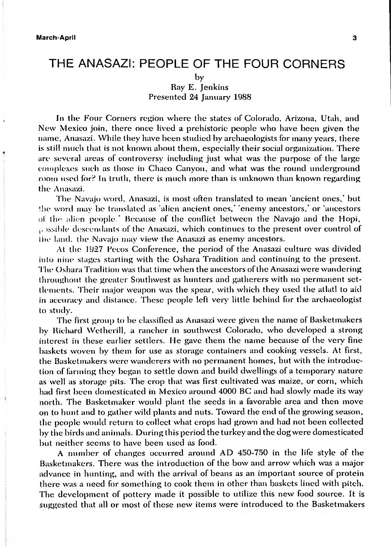# THE ANASAZI: PEOPLE OF THE FOUR CORNERS

by Ray E. Jenkins Presented 24 January 1988

In the Four Corners region where the states of Colorado, Arizona, Utah, and New Mexico join, there once lived a prehistoric people who have been given the name, Anasazi. While they have been studied by archaeologists for many years, there is still much that is not known about them, especially their social organization. There are several areas of controversy including just what was the purpose of the large complexes such as those in Chaco Canyon, and what was the round underground room used for? In truth, there is much more than is unknown than known regarding the Anasazi.

The Navajo word, Anasazi, is most often translated to mean 'ancient ones,' but the word may be translated as 'alien ancient ones,' 'enemy ancestors,' or 'ancestors of the alien people ' Because of the conflict between the Navajo and the Hopi, j. issible descendants of the Anasazi, which continues to the present over control of the land, the Navajo may view the Anasazi as enemy ancestors.

At the 1927 Pecos Conference, the period of the Anasazi culture was divided into nine stages starting with the Oshara Tradition and continuing to the present. The Oshara Tradition was that time when the ancestors ofthe Anasazi were wandering throughout the greater Southwest as hunters and gatherers with no permanent settlements. Their major weapon was the spear, with which they used the atlatl to aid in accuracy and distance. These people left very little behind for the archaeologist to study.

The first group to be classified as Anasazi were given the name of Basketmakers by Richard Wetherill, a rancher in southwest Colorado, who developed a strong interest in these earlier settlers. He gave them the name because of the very fine baskets woven by them for use as storage containers and cooking vessels. At first, the Basketmakers were wanderers with no permanent homes, but with the introduction of farming they began to settle down and build dwellings of a temporary nature as well as storage pits. The crop that was first cultivated was maize, or corn, which had first been domesticated in Mexico around 4000 BC and had slowly made its way north. The Basketmaker would plant the seeds in a favorable area and then move on to hunt and to gather wild plants and nuts. Toward the end of the growing season, the people would return to collect what crops had grown and had not been collected by the birds and animals. During this period the turkey and the dog were domesticated but neither seems to have been used as food.

A number of changes occurred around AD 450-750 in the life style of the Basketmakers. There was the introduction of the bow and arrow which was a major advance in hunting, and with the arrival of beans as an important source of protein there was a need for something to cook them in other than baskets lined with pitch. The development of pottery made it possible to utilize this new food source. It is suggested that all or most of these new items were introduced to the Basketmakers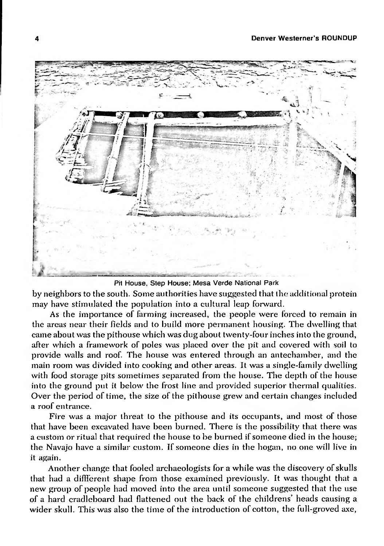

Pit House, Step House; Mesa Verde National Park

by neighbors to the south. Some authorities have suggested that the additional protein may have stimulated the population into a cultural leap forward.

As the importance of farming increased, the people were forced to remain in the areas near their fields and to build more permanent housing. The dwelling that came about was the pithouse which was dug about twenty-four inches into the ground, after which a framework of poles was placed over the pit and covered with soil to provide walls and roof. The house was entered through an antechamber, and the main room was divided into cooking and other areas. It was a single-family dwelling with food storage pits sometimes separated from the house. The depth of the house into the ground put it below the frost line and provided superior thermal qualities. Over the period of time, the size of the pithouse grew and certain changes included a roof entrance.

Fire was a major threat to the pithouse and its occupants, and most of those that have been excavated have been burned. There is the possibility that there was a custom or ritual that required the house to be burned if someone died in the house; the Navajo have a similar custom. If someone dies in the hogan, no one will live in it again.

Another change that fooled archaeologists for a while was the discovery of skulls that had a diffl'erent shape from those examined previously. It was thought that a new group of people had moved into the area until someone suggested that the use of a hard cradleboard had flattened out the back of the childrens' heads causing a wider skull. This was also the time of the introduction of cotton, the full-groved axe,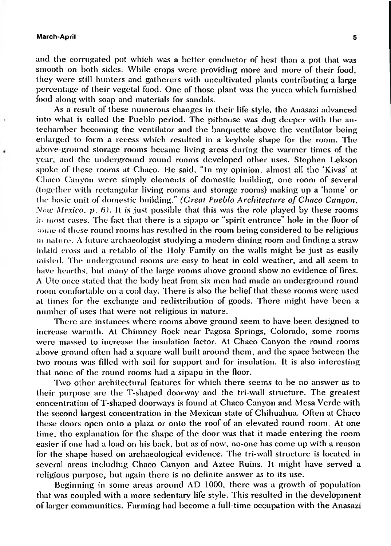and the corrugated pot which was a better conductor of heat than a pot that was smooth on both sides. While crops were providing more and more of their food, they were still hunters and gatherers with uncultivated plants contributing a large percentage of their vegetal food. One of those plant was the yucca which furnished food along with soap and materials for sandals.

As a result of these numerous changes in their life style, the Anasazi advanced into what is called the Pueblo period. The pithouse was dug deeper with the antechamber becoming the ventilator and the banquette above the ventilator being enlarged to form a recess which residted in a keyhole shape for the room. The above-ground storage rooms became living areas during the warmer times of the year, and the underground round rooms developed other uses. Stephen Lekson spoke of these rooms at Chaco. He said, "In my opinion, almost all the 'Kivas' at Chaco Canyon were simply elements of domestic building, one room of several (together with rectangular living rooms and storage rooms) making up a 'home' or the basic unit of domestic building." *(Croat Pueblo Architecture ofChaco Canyon, yictc Mexico, p. 6).* It is just possible that this was the role played by these rooms in most cases. The fact that there is a sipapu or "spirit entrance" hole in the floor of some of these round rooms has resulted in the room being considered to be religious m nature. A future archaeologist studying a modern dining room and finding a straw inlaid cross and a retablo of the Holy Family on the walls might be just as easily misled. The underground rooms are easy to heat in cold weather, and all seem to have hearths, but many of the large rooms above ground show no evidence of fires. A Ute once staled that the body heat from six men had made an underground round room comfortable on a cool day. There is also the belief that these rooms were used at times for the exchange and redistribution of goods. There might have been a number of uses that were not religious in nature.

There are instances where rooms above ground seem to have been designed to increase warmth. At Chimney Rock near Pagosa Springs, Colorado, some rooms were massed to increase the insulation factor. At Chaco Canyon the round rooms above ground often had a square wall built around them, and the space between the two rooms was filled with soil for support and for insulation. It is also interesting that none of the round rooms had a sipapu in the floor.

Two other architectural features for which there seems to be no answer as to their purpose are the T-shaped doorway and the tri-wall structure. The greatest concentration ofT-shaped doorways is found at Chaco Canyon and Mesa Verde with the second largest concentration in the Mexican state of Chihuahua. Often at Chaco these doors open onto a plaza or onto the roof of an elevated round room. At one time, the explanation for the shape of the door was that it made entering the room easier if one had a load on his back, but as of now, no-one has come up with a reason for the shape based on archaeological evidence. The tri-wall structure is located in several areas including Chaco Canyon and Aztec Ruins. It might have served a religious purpose, but again there is no definite answer as to its use.

Beginning in some areas around AD 1000, there was a growth of population that was coupled with a more sedentary life style. This resulted in the development of larger communities. Farming had become a full-time occupation with the Anasazi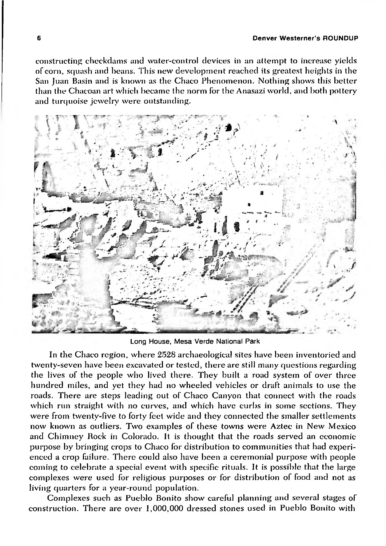#### **6 Denver Westerner's ROUNDUP**

constructing checkdams and water-control devices in an attempt to increase yields of corn, squash and beans. This new development reached its greatest heights in the San Juan Basin and is known as the Chaco Phenomenon. Nothing shows this better than the Chacoan art which became the norm for the Anasazi world, and both pottery and turquoise jewelry were outstanding.

**i • </ <sup>z</sup> \* '8 -1** *- i* **11**  $\mathbf{v} = \mathbf{v} \times \mathbf{y}$ *'-.J*

Long House, Mesa Verde National Park

In the Chaco region, where 2528 archaeological sites have been inventoried and twenty-seven have been excavated or tested, there are still many questions regarding the lives of the people who lived there. They built a road system of over three hundred miles, and yet they had no wheeled vehicles or draft animals to use the roads. There are steps leading out of Chaco Canyon that connect with the roads which run straight with no curves, and which have curbs in some sections. They were from twenty-five to forty feet wide and they connected the smaller settlements now known as outliers. Two examples of these towns were Aztec in New Mexico and Chimney Rock in Colorado. It is thought that the roads served an economic purpose by bringing crops to Chaco for distribution to communities that had experienced a crop failure. There could also have been a ceremonial purpose with people coming to celebrate a special event with specific rituals. It is possible that the large complexes were used for religious purposes or for distribution of food and not as living quarters for a year-round population.

Complexes such as Pueblo Bonito show careful planning and several stages of construction. There are over 1,000,000 dressed stones used in Pueblo Bonito with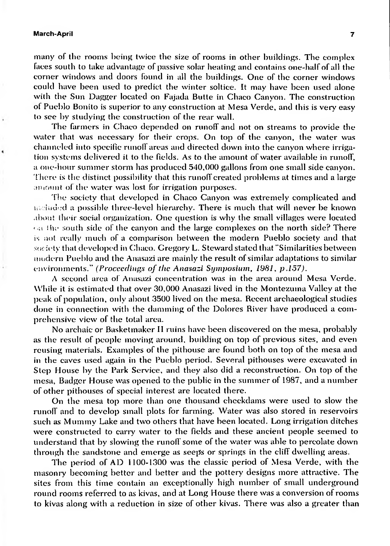many of the rooms being twice the size of rooms in other buildings. The complex faces south to take advantage of passive solar heating and contains one-half of all the corner windows and doors found in all the buildings. One of the corner windows could have been used to predict the winter soltice. It may have been used alone with the Sun Dagger located on Fajada Butte in Chaco Canyon. The construction of Pueblo Bonito is superior to any construction at Mesa Verde, and this is very easy to see by studying the construction of the rear wall.

The farmers in Chaco depended on runoff and not on streams to provide the water that was necessary for their crops. On top of the canyon, the water was channeled into specific runoff areas and directed down into the canyon where irrigation systems delivered it to the fields. As to the amount of water available in runoff, a one-hour summer storm has produced 540,000 gallons from one small side canyon. There is the distinct possibility that this runoff created problems at times and a large amount of the water was lost for irrigation purposes.

The society that developed in Chaco Canyon was extremely complicated and ii.-hided a possible three-level hierarchy. There is much that will never be known about their social organization. One question is why the small villages were located  $\ddot{\mathrm{d}}_3$ : the south side of the canyon and the large complexes on the north side? There is not really much of a comparison between the modern Pueblo society and that society that developed in Chaco. Gregory L. Steward stated that "Similarities between modern Pueblo and the Anasazi are mainly the result of similar adaptations to similar environments." *(Proceedings of the Anasazi Symposium, 1981, p.157).*

*A* second area of Anasazi concentration was in the area around Mesa Verde. While it is estimated that over 30,000 Anasazi lived in the Montezuma Valley at the peak of population, only about 3500 lived on the mesa. Recent archaeological studies done in connection with the damming of the Dolores River have produced a comprehensive view of the total area.

No archaic or Basketmaker If ruins have been discovered on the mesa, probably as the result of people moving around, building on top of previous sites, and even reusing materials. Examples of the pithouse are found both on top of the mesa and in the caves used again in the Pueblo period. Several pithouses were excavated in Step House by the Park Service, and they also did a reconstruction. On top of the mesa, Badger House was opened to the public in the summer of 1987, and a number of other pithouses of special interest are located there.

On the mesa top more than one thousand checkdams were used to slow the runoff and to develop small plots for farming. Water was also stored in reservoirs such as Mummy Lake and two others that have been located. Long irrigation ditches were constructed to carry water to the fields and these ancient people seemed to understand that by slowing the runoffsome of the water was able to percolate down through the sandstone and emerge as seeps or springs in the cliff dwelling areas.

The period of AD 1100-1300 was the classic period of Mesa Verde, with the masonry becoming better and better and the pottery designs more attractive. The sites from this time contain an exceptionally high number of small underground round rooms referred to as kivas, and at Long House there was a conversion ofrooms to kivas along with a reduction in size of other kivas. There was also a greater than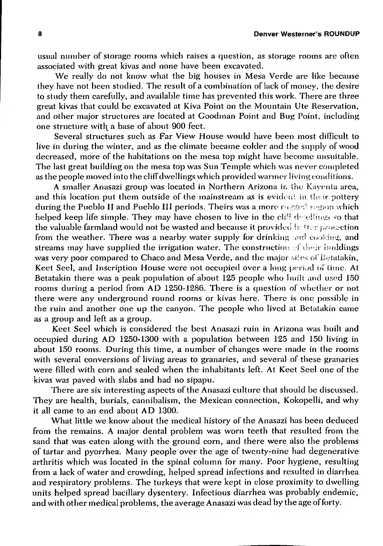usual number ofstorage rooms which raises a question, as storage rooms are often associated with great kivas and none have been excavated.

We really do not know what the big houses in Mesa Verde are like because they have not been studied. The result of a combination of lack of money, the desire to study them carefully, and available time has prevented this work. There are three great kivas that could be excavated at Kiva Point on the Mountain Ute Reservation, and other major structures are located at Goodman Point and Bug Point, including one structure with a base of about 900 feet.

Several structures such as Far View House would have been most difficult to live in during the winter, and as the climate became colder and the supply of wood decreased, more of the habitations on the mesa top might have become unsuitable. The last great building on the mesa top was Sun Temple which was never completed as the people moved into the cliff dwellings which provided warmer living conditions.

A smaller Anasazi group was located in Northern Arizona in the Kayenta area, and this location put them outside of the mainstream as is evident in their pottery during the Pueblo II and Pueblo III periods. Theirs was a more *r <sup>&</sup>gt;* region which helped keep life simple. They may have chosen to live in the  $di\bar{f}$  denotings so that the valuable farmland would not be wasted and because it provided butter protection from the weather. There was a nearby water supply for drinking and cooking, and streams may have supplied the irrigation water. The construction of their buildings was very poor compared to Chaco and Mesa Verde, and the major sites of Betatakin, Keet Seel, and Inscription House were not occupied over a long period of time. At Betatakin there was a peak population of about 125 people who built and used 150 rooms during a period from AD 1250-1286. There is a question of whether or not there were any underground round rooms or kivas here. There is one possible in the ruin and another one up the canyon. The people who lived at Betatakin came as a group and left as a group.

Keet Seel which is considered the best Anasazi ruin in Arizona was built and occupied during AD 1250-1300 with a population between 125 and 150 living in about 150 rooms. During this time, a number of changes were made in the rooms with several conversions of living areas to granaries, and several of these granaries were filled with corn and sealed when the inhabitants left. At Keet Seel one of the kivas was paved with slabs and had no sipapu.

There are six interesting aspects of the Anasazi culture that should be discussed. They are health, burials, cannibalism, the Mexican connection, Kokopelli, and why it all came to an end about AD 1300.

What little we know about the medical history of the Anasazi has been deduced from the remains. A major dental problem was worn teeth that resulted from the sand that was eaten along with the ground corn, and there were also the problems of tartar and pyorrhea. Many people over the age of twenty-nine had degenerative arthritis which was located in the spinal column for many. Poor hygiene, resulting from a lack of water and crowding, helped spread infections and resulted in diarrhea and respiratory problems. The turkeys that were kept in close proximity to dwelling units helped spread bacillary dysentery. Infectious diarrhea was probably endemic, and with other medical problems, the average Anasazi was dead by the age of forty.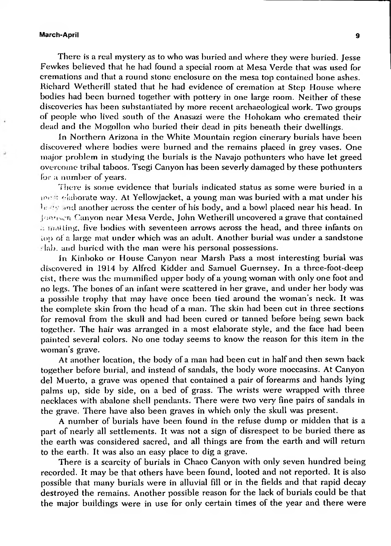There is a real mystery as to who was buried and where they were buried. Jesse Fewkes believed that he had found a special room at Mesa Verde that was used for cremations and that a round stone enclosure on the mesa top contained bone ashes. Richard Wetherill stated that he had evidence of cremation at Step House where bodies had been burned together with pottery in one large room. Neither of these discoveries has been substantiated by more recent archaeological work. Two groups of people who lived south of the Anasazi were the Hohokam who cremated their dead and the Mogollon who buried their dead in pits beneath their dwellings.

In Northern Arizona in the White Mountain region cinerary burials have been discovered where bodies were burned and the remains placed in grey vases. One major problem in studying the burials is the Navajo pothunters who have let greed overcome tribal taboos. Tsegi Canyon has been severly damaged by these pothunters for a number of years.

There is some evidence that burials indicated status as some were buried in a inn *■:* elaborate way. At Yellowjacket, a young man was buried with a mat under his  $b$ :  $\frac{1}{2}$  and another across the center of his body, and a bowl placed near his head. In Jomiscn Canyon near Mesa Verde, John Wetherill uncovered a grave that contained .: malting, five bodies with seventeen arrows across the head, and three infants on lop of a large mat under which was an adult. Another burial was under a sandstone lab. and buried with the man were his personal possessions.

In Kinboko or House Canyon near Marsh Pass a most interesting burial was discovered in 1914 by Alfred Kidder and Samuel Guernsey. In a three-foot-deep cist, there was the mummified upper body of a young woman with only one foot and no legs. The bones of an infant were scattered in her grave, and under her body was a possible trophy that may have once been tied around the woman's neck. It was the complete skin from the head of a man. The skin had been cut in three sections for removal from the skull and had been cured or tanned before being sewn back together. The hair was arranged in a most elaborate style, and the face had been painted several colors. No one today seems to know the reason for this item in the woman's grave.

At another location, the body of a man had been cut in half and then sewn back together before burial, and instead of sandals, the body wore moccasins. At Canyon del Muerto, a grave was opened that contained a pair of forearms and hands lying palms up, side by side, on a bed of grass. The wrists were wrapped with three necklaces with abalone shell pendants. There were two very fine pairs of sandals in the grave. There have also been graves in which only the skull was present.

A number of burials have been found in the refuse dump or midden that is a part of nearly all settlements. It was not a sign of disrespect to be buried there as the earth was considered sacred, and all things are from the earth and will return to the earth. It was also an easy place to dig a grave.

There is a scarcity of burials in Chaco Canyon with only seven hundred being recorded. It may be that others have been found, looted and not reported. It is also possible that many burials were in alluvial fill or in the fields and that rapid decay destroyed the remains. Another possible reason for the lack of burials could be that the major buildings were in use for only certain times of the year and there were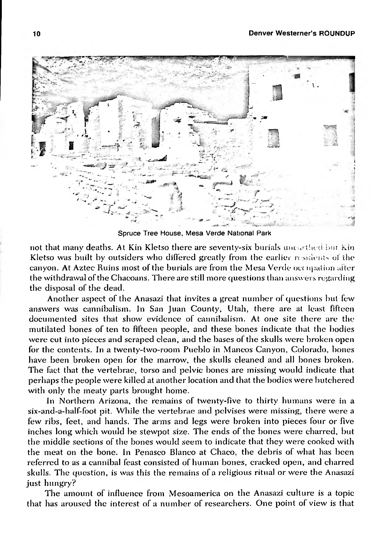

Spruce Tree House, Mesa Verde National Park

not that many deaths. At Kin Kletso there are seventy-six burials unearthed but Kin Kletso was built by outsiders who differed greatly from the earlier residents of the canyon. At Aztec Ruins most of the burials are from the Mesa Verde occupation alter the withdrawal ofthe Chacoans. There are still more questions than answers regarding the disposal of the dead.

Another aspect of the Anasazi that invites a great number of questions but few answers was cannibalism. In San Juan County, Utah, there are at least fifteen documented sites that show evidence of cannibalism. At one site there are the mutilated bones of ten to fifteen people, and these bones indicate that the bodies were cut into pieces and scraped clean, and the bases of the skulls were broken open for the contents. In a twenty-two-room Pueblo in Mancos Canyon, Colorado, bones have been broken open for the marrow, the skulls cleaned and all bones broken. The fact that the vertebrae, torso and pelvic bones are missing would indicate that perhaps the people were killed at another location and that the bodies were butchered with only the meaty parts brought home.

In Northern Arizona, the remains of twenty-five to thirty humans were in a six-and-a-half-foot pit. While the vertebrae and pelvises were missing, there were a few ribs, feet, and hands. The arms and legs were broken into pieces four or five inches long which would be stewpot size. The ends of the bones were charred, but the middle sections of the bones would seem to indicate that they were cooked with the meat on the bone. In Penasco Blanco at Chaco, the debris of what has been referred to as a cannibal feast consisted of human bones, cracked open, and charred skulls. The question, is was this the remains of a religious ritual or were the Anasazi just hungry?

The amount of influence from Mesoamerica on the Anasazi culture is a topic that has aroused the interest of a number of researchers. One point of view is that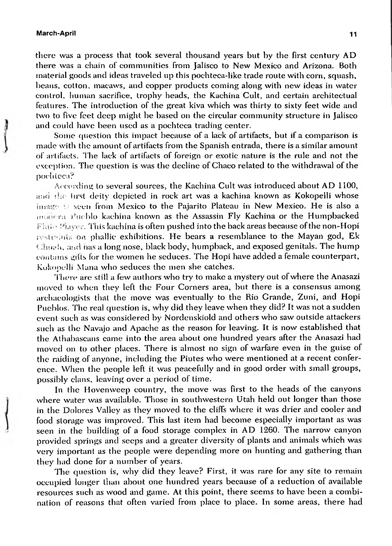there was a process that took several thousand years but by the first century AD there was a chain of communities from Jalisco to New Mexico and Arizona. Both material goods and ideas traveled up this pochteca-like trade route with corn, squash, beans, cotton, macaws, and copper products coming along with new ideas in water control, human sacrifice, trophy heads, the Kachina Cult, and certain architectual features. The introduction of the great kiva which was thirty to sixty feet wide and two to five feet deep might be based on the circular community structure in Jalisco and could have been used as a pochteca trading center.

Some question this impact because of a lack of artifacts, but if a comparison is made with the amount of artifacts from the Spanish entrada, there is a similar amount of artifacts. The lack of artifacts of foreign or exotic nature is the rule and not the exception. The question is was the decline ofChaco related to the withdrawal of the pochteca?

According to several sources, the Kachina Cult was introduced about AD 1100, and the Inst deity depicted in rock art was a kachina known as Kokopelli whose  $\lim_{x \to a}$  i. seen from Mexico to the Pajarito Plateau in New Mexico. He is also a mudera Puchlo kachina known as the Assassin Fly Kachina or the Humpbacked  $F_{\text{adv}}$  Player. This kachina is often pushed into the back areas because of the non-Hopi restrelats on phallic exhibitions. He bears a resemblance to the Mayan god, Ek Chuali, and iias a long nose, black body, humpback, and exposed genitals. The hump contains gills for the women he seduces. The Hopi have added a female counterpart, Kokopelli Mana who seduces the men she catches.

There are still a few authors who try to make a mystery out ofwhere the Anasazi moved to when they left the Four Corners area, but there is a consensus among archaeologists that the move was eventually to the Rio Grande, Zuni, and Hopi Pueblos. The real question is, why did they leave when they did? It was not a sudden event such as was considered by Nordenskiold and others who saw outside attackers such as the Navajo and Apache as the reason for leaving. It is now established that the Athabascans came into the area about one hundred years after the Anasazi had moved on to other places. There is almost no sign of warfare even in the guise of the raiding of anyone, including the Piutes who were mentioned at a recent conference. When the people left it was peacefully and in good order with small groups, possibly clans, leaving over a period of time.

In the Hovenweep country, the move was first to the heads of the canyons where water was available. Those in southwestern Utah held out longer than those in the Dolores Valley as they moved to the cliffs where it was drier and cooler and food storage was improved. This last item had become especially important as was seen in the building of a food storage complex in AD 1260. The narrow canyon provided springs and seeps and a greater diversity of plants and animals which was very important as the people were depending more on hunting and gathering than they had done for a number of years.

The question is, why did they leave? First, it was rare for any site to remain occupied longer than about one hundred years because of a reduction of available resources such as wood and game. At this point, there seems to have been a combination of reasons that often varied from place to place. In some areas, there had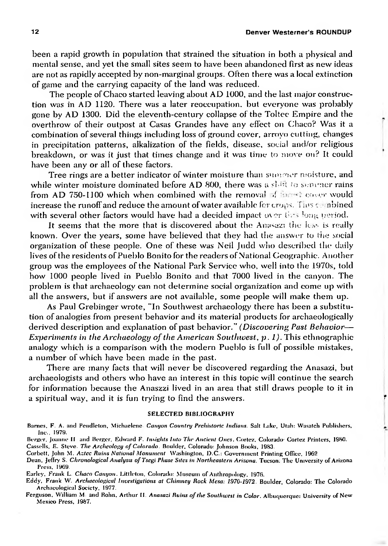#### **12 Denver Westerner's ROUNDUP**

**r**

been a rapid growth in population that strained the situation in both a physical and mental sense, and yet the small sites seem to have been abandoned first as new ideas are not as rapidly accepted by non-marginal groups. Often there was a local extinction of game and the carrying capacity of the land was reduced.

The people ofChaco started leaving about AO 1000, and the last major construction was in AO 1120. There was a later reoccupation, but everyone was probably gone by AD 1300. Did the eleventh-century collapse of the Toltec Empire and the overthrow of their outpost at Casas Grandes have any effect on Chaco? Was it a combination ofseveral things including loss of ground cover, arroyo cutting, changes in precipitation patterns, alkalization of the fields, disease, social and/or religious breakdown, or was it just that times change and it was time to move on? It could have been any or all of these factors.

Tree rings are a better indicator of winter moisture than summer moisture, and while winter moisture dominated before AD 800, there was a shift to summer rains from AD 750-1100 which when combined with the removal of final cover would increase the runoffand reduce the amount ofwater available for crops. Tins c: nbined with several other factors would have had a decided impact over the long period.

It seems that the more that is discovered about the Anasazi the less is really known. Over the years, some have believed that they had the answer to the social organization of these people. One of these was Neil Judd who described the daily lives of the residents of Pueblo Bonito for the readers of National Geographic. Another group was the employees of the National Park Service who, well into the 1970s, told how 1000 people lived in Pueblo Bonito and that 7000 lived in the canyon. The problem is that archaeology can not determine social organization and come up with all the answers, but if answers are not available, some people will make them up.

As Paul Grebinger wrote, "In Southwest archaeology there has been a substitution of analogies from present behavior and its material products for archaeologically derived description and explanation of past behavior." *(Discovering Past Behavior*— *Experiments in the Archaeology ofthe American Southwest, p. 1).* This ethnographic analogy which is a comparison with the modern Pueblo is full of possible mistakes, a number of which have been made in the past.

There are many facts that will never be discovered regarding the Anasazi, but archaeologists and others who have an interest in this topic will continue the search for information because the Anaszzi lived in an area that still draws people to it in a spiritual way, and it is fun trying to find the answers.

#### SELECTED BIBLIOGRAPHY

Barnes. F. A. and Pendleton, Michaelene *Canyon Country Prehistoric Indians.* Salt Lake, Utah: Wasatch Publishers, Inc., 1979.

Berger. Joanne II and Berger. Edward F. *Insights Into The Ancient Ones.* Cortez. Colorado- Cortez Printers, 1980. Cassells, E. Steve. *The Archeology ofColorado.* Boulder, Colorado: Johnson Books, 1983.

Corbett. John M. *Aztec Ruins National Monument* Washington, D.C.: Government Printing Office. 1962

Dean, Jeffry S. *Chronological Analysis ofTsegi Phase Sites in Northeastern Arizona.* Tucson. The University of Arizona Press. 1969.

Earley. Frank L. *Chaco Canyon.* Littleton. Colorado: Museum of Anthropology, 1976.

Eddy, Frank W. *Archaeological investigations at Chimney Rock Mesa: 1970-1972.* Boulder, Colorado: The Colorado Archaeological Society, 1977.

Ferguson, William <sup>M</sup> and **Rohn,** Arthur II. *Anasazi Ruins ofthe Southwest in Color.* Albuquerque: University of New Mexico Press. 1987.